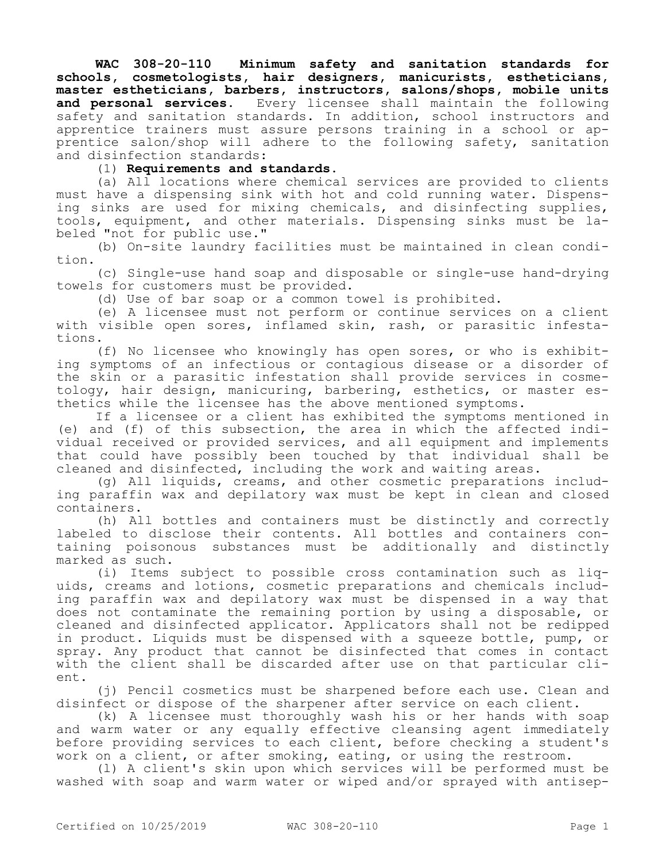**WAC 308-20-110 Minimum safety and sanitation standards for schools, cosmetologists, hair designers, manicurists, estheticians, master estheticians, barbers, instructors, salons/shops, mobile units and personal services.** Every licensee shall maintain the following safety and sanitation standards. In addition, school instructors and apprentice trainers must assure persons training in a school or apprentice salon/shop will adhere to the following safety, sanitation and disinfection standards:

(1) **Requirements and standards.**

(a) All locations where chemical services are provided to clients must have a dispensing sink with hot and cold running water. Dispensing sinks are used for mixing chemicals, and disinfecting supplies, tools, equipment, and other materials. Dispensing sinks must be labeled "not for public use."

(b) On-site laundry facilities must be maintained in clean condition.

(c) Single-use hand soap and disposable or single-use hand-drying towels for customers must be provided.

(d) Use of bar soap or a common towel is prohibited.

(e) A licensee must not perform or continue services on a client with visible open sores, inflamed skin, rash, or parasitic infestations.

(f) No licensee who knowingly has open sores, or who is exhibiting symptoms of an infectious or contagious disease or a disorder of the skin or a parasitic infestation shall provide services in cosmetology, hair design, manicuring, barbering, esthetics, or master esthetics while the licensee has the above mentioned symptoms.

If a licensee or a client has exhibited the symptoms mentioned in (e) and (f) of this subsection, the area in which the affected individual received or provided services, and all equipment and implements that could have possibly been touched by that individual shall be cleaned and disinfected, including the work and waiting areas.

(g) All liquids, creams, and other cosmetic preparations including paraffin wax and depilatory wax must be kept in clean and closed containers.

(h) All bottles and containers must be distinctly and correctly labeled to disclose their contents. All bottles and containers containing poisonous substances must be additionally and distinctly marked as such.

(i) Items subject to possible cross contamination such as liquids, creams and lotions, cosmetic preparations and chemicals including paraffin wax and depilatory wax must be dispensed in a way that does not contaminate the remaining portion by using a disposable, or cleaned and disinfected applicator. Applicators shall not be redipped in product. Liquids must be dispensed with a squeeze bottle, pump, or spray. Any product that cannot be disinfected that comes in contact with the client shall be discarded after use on that particular client.

(j) Pencil cosmetics must be sharpened before each use. Clean and disinfect or dispose of the sharpener after service on each client.

(k) A licensee must thoroughly wash his or her hands with soap and warm water or any equally effective cleansing agent immediately before providing services to each client, before checking a student's work on a client, or after smoking, eating, or using the restroom.

(l) A client's skin upon which services will be performed must be washed with soap and warm water or wiped and/or sprayed with antisep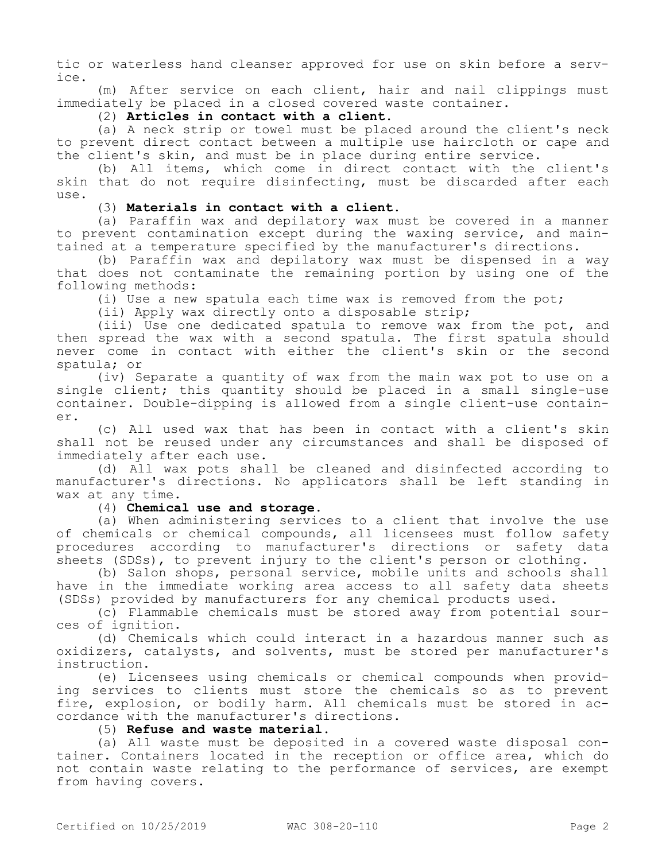tic or waterless hand cleanser approved for use on skin before a service.

(m) After service on each client, hair and nail clippings must immediately be placed in a closed covered waste container.

## (2) **Articles in contact with a client.**

(a) A neck strip or towel must be placed around the client's neck to prevent direct contact between a multiple use haircloth or cape and the client's skin, and must be in place during entire service.

(b) All items, which come in direct contact with the client's skin that do not require disinfecting, must be discarded after each use.

## (3) **Materials in contact with a client.**

(a) Paraffin wax and depilatory wax must be covered in a manner to prevent contamination except during the waxing service, and maintained at a temperature specified by the manufacturer's directions.

(b) Paraffin wax and depilatory wax must be dispensed in a way that does not contaminate the remaining portion by using one of the following methods:

(i) Use a new spatula each time wax is removed from the pot;

(ii) Apply wax directly onto a disposable strip;

(iii) Use one dedicated spatula to remove wax from the pot, and then spread the wax with a second spatula. The first spatula should never come in contact with either the client's skin or the second spatula; or

(iv) Separate a quantity of wax from the main wax pot to use on a single client; this quantity should be placed in a small single-use container. Double-dipping is allowed from a single client-use container.

(c) All used wax that has been in contact with a client's skin shall not be reused under any circumstances and shall be disposed of immediately after each use.

(d) All wax pots shall be cleaned and disinfected according to manufacturer's directions. No applicators shall be left standing in wax at any time.

(4) **Chemical use and storage.**

(a) When administering services to a client that involve the use of chemicals or chemical compounds, all licensees must follow safety procedures according to manufacturer's directions or safety data sheets (SDSs), to prevent injury to the client's person or clothing.

(b) Salon shops, personal service, mobile units and schools shall have in the immediate working area access to all safety data sheets (SDSs) provided by manufacturers for any chemical products used.

(c) Flammable chemicals must be stored away from potential sources of ignition.

(d) Chemicals which could interact in a hazardous manner such as oxidizers, catalysts, and solvents, must be stored per manufacturer's instruction.

(e) Licensees using chemicals or chemical compounds when providing services to clients must store the chemicals so as to prevent fire, explosion, or bodily harm. All chemicals must be stored in accordance with the manufacturer's directions.

## (5) **Refuse and waste material.**

(a) All waste must be deposited in a covered waste disposal container. Containers located in the reception or office area, which do not contain waste relating to the performance of services, are exempt from having covers.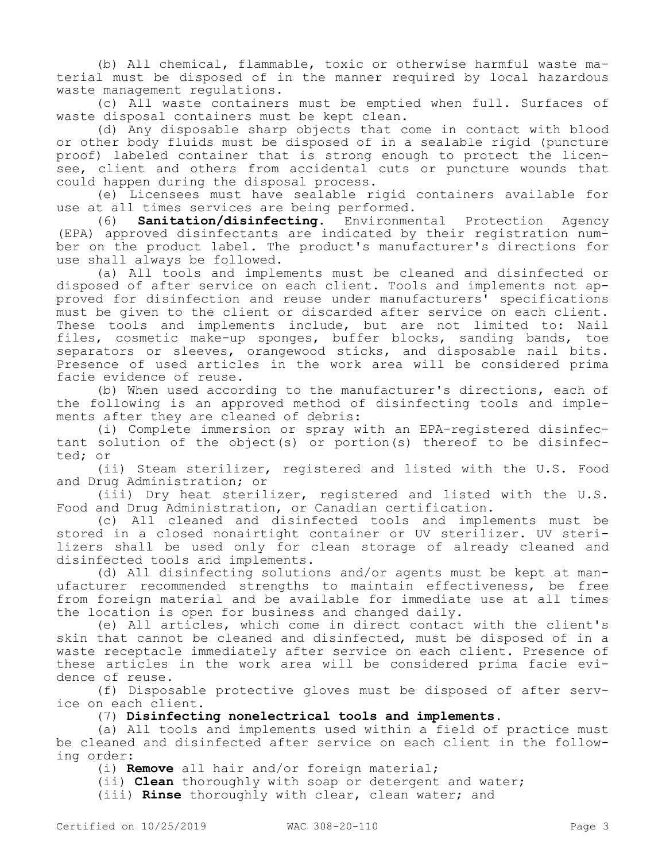(b) All chemical, flammable, toxic or otherwise harmful waste material must be disposed of in the manner required by local hazardous waste management regulations.

(c) All waste containers must be emptied when full. Surfaces of waste disposal containers must be kept clean.

(d) Any disposable sharp objects that come in contact with blood or other body fluids must be disposed of in a sealable rigid (puncture proof) labeled container that is strong enough to protect the licensee, client and others from accidental cuts or puncture wounds that could happen during the disposal process.

(e) Licensees must have sealable rigid containers available for use at all times services are being performed.

(6) **Sanitation/disinfecting.** Environmental Protection Agency (EPA) approved disinfectants are indicated by their registration number on the product label. The product's manufacturer's directions for use shall always be followed.

(a) All tools and implements must be cleaned and disinfected or disposed of after service on each client. Tools and implements not approved for disinfection and reuse under manufacturers' specifications must be given to the client or discarded after service on each client. These tools and implements include, but are not limited to: Nail files, cosmetic make-up sponges, buffer blocks, sanding bands, toe separators or sleeves, orangewood sticks, and disposable nail bits. Presence of used articles in the work area will be considered prima facie evidence of reuse.

(b) When used according to the manufacturer's directions, each of the following is an approved method of disinfecting tools and implements after they are cleaned of debris:

(i) Complete immersion or spray with an EPA-registered disinfectant solution of the object(s) or portion(s) thereof to be disinfected; or

(ii) Steam sterilizer, registered and listed with the U.S. Food and Drug Administration; or

(iii) Dry heat sterilizer, registered and listed with the U.S. Food and Drug Administration, or Canadian certification.

(c) All cleaned and disinfected tools and implements must be stored in a closed nonairtight container or UV sterilizer. UV sterilizers shall be used only for clean storage of already cleaned and disinfected tools and implements.

(d) All disinfecting solutions and/or agents must be kept at manufacturer recommended strengths to maintain effectiveness, be free from foreign material and be available for immediate use at all times the location is open for business and changed daily.

(e) All articles, which come in direct contact with the client's skin that cannot be cleaned and disinfected, must be disposed of in a waste receptacle immediately after service on each client. Presence of these articles in the work area will be considered prima facie evidence of reuse.

(f) Disposable protective gloves must be disposed of after service on each client.

(7) **Disinfecting nonelectrical tools and implements.**

(a) All tools and implements used within a field of practice must be cleaned and disinfected after service on each client in the following order:

(i) **Remove** all hair and/or foreign material;

(ii) **Clean** thoroughly with soap or detergent and water;

(iii) **Rinse** thoroughly with clear, clean water; and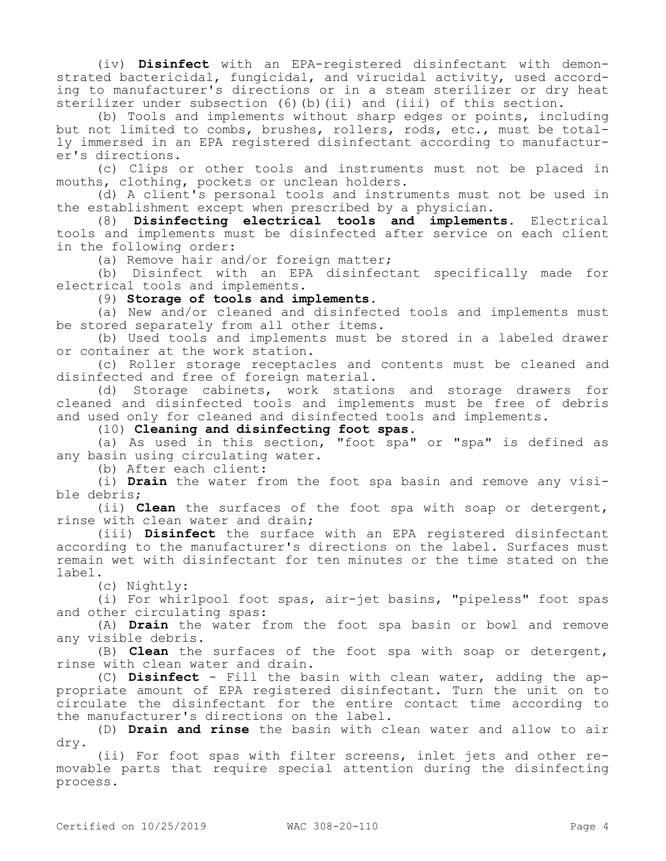(iv) **Disinfect** with an EPA-registered disinfectant with demonstrated bactericidal, fungicidal, and virucidal activity, used according to manufacturer's directions or in a steam sterilizer or dry heat sterilizer under subsection (6)(b)(ii) and (iii) of this section.

(b) Tools and implements without sharp edges or points, including but not limited to combs, brushes, rollers, rods, etc., must be totally immersed in an EPA registered disinfectant according to manufacturer's directions.

(c) Clips or other tools and instruments must not be placed in mouths, clothing, pockets or unclean holders.

(d) A client's personal tools and instruments must not be used in the establishment except when prescribed by a physician.

(8) **Disinfecting electrical tools and implements.** Electrical tools and implements must be disinfected after service on each client in the following order:

(a) Remove hair and/or foreign matter;

(b) Disinfect with an EPA disinfectant specifically made for electrical tools and implements.

(9) **Storage of tools and implements.**

(a) New and/or cleaned and disinfected tools and implements must be stored separately from all other items.

(b) Used tools and implements must be stored in a labeled drawer or container at the work station.

(c) Roller storage receptacles and contents must be cleaned and disinfected and free of foreign material.

(d) Storage cabinets, work stations and storage drawers for cleaned and disinfected tools and implements must be free of debris and used only for cleaned and disinfected tools and implements.

(10) **Cleaning and disinfecting foot spas.**

(a) As used in this section, "foot spa" or "spa" is defined as any basin using circulating water.

(b) After each client:

(i) **Drain** the water from the foot spa basin and remove any visible debris;

(ii) **Clean** the surfaces of the foot spa with soap or detergent, rinse with clean water and drain;

(iii) **Disinfect** the surface with an EPA registered disinfectant according to the manufacturer's directions on the label. Surfaces must remain wet with disinfectant for ten minutes or the time stated on the label.

(c) Nightly:

(i) For whirlpool foot spas, air-jet basins, "pipeless" foot spas and other circulating spas:

(A) **Drain** the water from the foot spa basin or bowl and remove any visible debris.

(B) **Clean** the surfaces of the foot spa with soap or detergent, rinse with clean water and drain.

(C) **Disinfect** - Fill the basin with clean water, adding the appropriate amount of EPA registered disinfectant. Turn the unit on to circulate the disinfectant for the entire contact time according to the manufacturer's directions on the label.

(D) **Drain and rinse** the basin with clean water and allow to air dry.

(ii) For foot spas with filter screens, inlet jets and other removable parts that require special attention during the disinfecting process.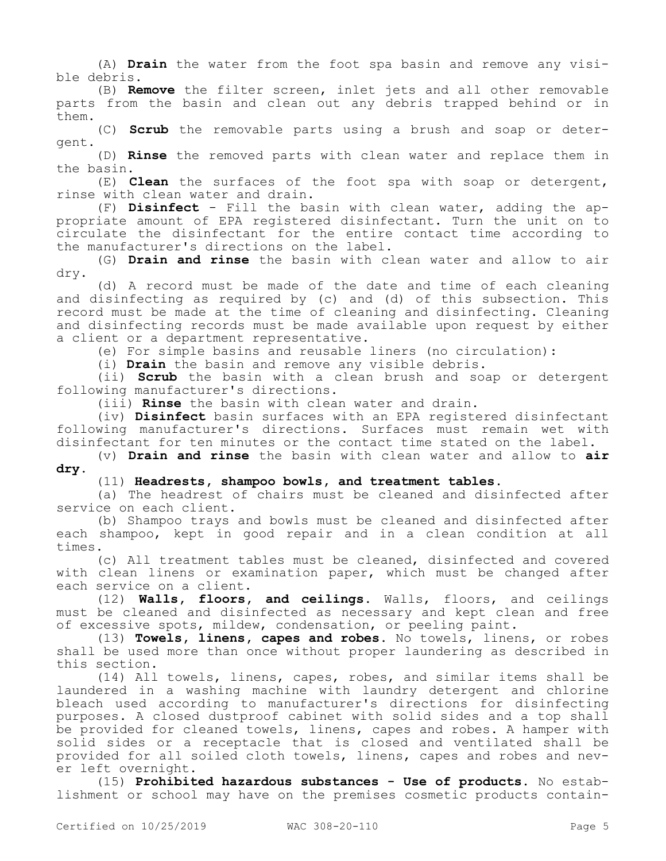(A) **Drain** the water from the foot spa basin and remove any visible debris.

(B) **Remove** the filter screen, inlet jets and all other removable parts from the basin and clean out any debris trapped behind or in them.

(C) **Scrub** the removable parts using a brush and soap or detergent.

(D) **Rinse** the removed parts with clean water and replace them in the basin.

(E) **Clean** the surfaces of the foot spa with soap or detergent, rinse with clean water and drain.

(F) **Disinfect** - Fill the basin with clean water, adding the appropriate amount of EPA registered disinfectant. Turn the unit on to circulate the disinfectant for the entire contact time according to the manufacturer's directions on the label.

(G) **Drain and rinse** the basin with clean water and allow to air dry.

(d) A record must be made of the date and time of each cleaning and disinfecting as required by (c) and (d) of this subsection. This record must be made at the time of cleaning and disinfecting. Cleaning and disinfecting records must be made available upon request by either a client or a department representative.

(e) For simple basins and reusable liners (no circulation):

(i) **Drain** the basin and remove any visible debris.

(ii) **Scrub** the basin with a clean brush and soap or detergent following manufacturer's directions.

(iii) **Rinse** the basin with clean water and drain.

(iv) **Disinfect** basin surfaces with an EPA registered disinfectant following manufacturer's directions. Surfaces must remain wet with disinfectant for ten minutes or the contact time stated on the label.

(v) **Drain and rinse** the basin with clean water and allow to **air dry.**

## (11) **Headrests, shampoo bowls, and treatment tables.**

(a) The headrest of chairs must be cleaned and disinfected after service on each client.

(b) Shampoo trays and bowls must be cleaned and disinfected after each shampoo, kept in good repair and in a clean condition at all times.

(c) All treatment tables must be cleaned, disinfected and covered with clean linens or examination paper, which must be changed after each service on a client.

(12) **Walls, floors, and ceilings.** Walls, floors, and ceilings must be cleaned and disinfected as necessary and kept clean and free of excessive spots, mildew, condensation, or peeling paint.

(13) **Towels, linens, capes and robes.** No towels, linens, or robes shall be used more than once without proper laundering as described in this section.

(14) All towels, linens, capes, robes, and similar items shall be laundered in a washing machine with laundry detergent and chlorine bleach used according to manufacturer's directions for disinfecting purposes. A closed dustproof cabinet with solid sides and a top shall be provided for cleaned towels, linens, capes and robes. A hamper with solid sides or a receptacle that is closed and ventilated shall be provided for all soiled cloth towels, linens, capes and robes and never left overnight.

(15) **Prohibited hazardous substances - Use of products.** No establishment or school may have on the premises cosmetic products contain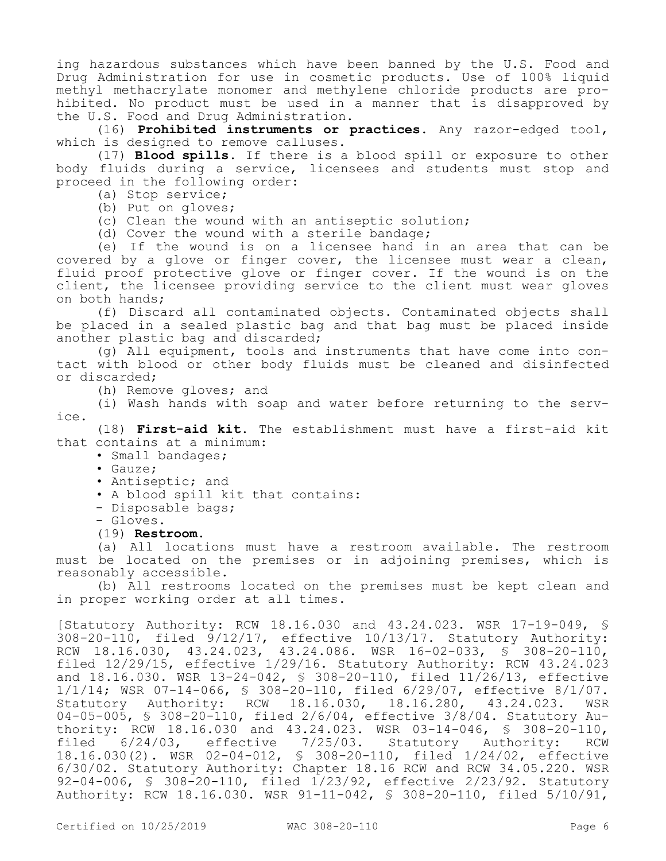ing hazardous substances which have been banned by the U.S. Food and Drug Administration for use in cosmetic products. Use of 100% liquid methyl methacrylate monomer and methylene chloride products are prohibited. No product must be used in a manner that is disapproved by the U.S. Food and Drug Administration.

(16) **Prohibited instruments or practices.** Any razor-edged tool, which is designed to remove calluses.

(17) **Blood spills.** If there is a blood spill or exposure to other body fluids during a service, licensees and students must stop and proceed in the following order:

- (a) Stop service;
- (b) Put on gloves;
- (c) Clean the wound with an antiseptic solution;
- (d) Cover the wound with a sterile bandage;

(e) If the wound is on a licensee hand in an area that can be covered by a glove or finger cover, the licensee must wear a clean, fluid proof protective glove or finger cover. If the wound is on the client, the licensee providing service to the client must wear gloves on both hands;

(f) Discard all contaminated objects. Contaminated objects shall be placed in a sealed plastic bag and that bag must be placed inside another plastic bag and discarded;

(g) All equipment, tools and instruments that have come into contact with blood or other body fluids must be cleaned and disinfected or discarded;

(h) Remove gloves; and

(i) Wash hands with soap and water before returning to the service.

(18) **First-aid kit.** The establishment must have a first-aid kit that contains at a minimum:

- Small bandages;
- Gauze;
- Antiseptic; and
- A blood spill kit that contains:
- Disposable bags;
- Gloves.
- (19) **Restroom.**

(a) All locations must have a restroom available. The restroom must be located on the premises or in adjoining premises, which is reasonably accessible.

(b) All restrooms located on the premises must be kept clean and in proper working order at all times.

[Statutory Authority: RCW 18.16.030 and 43.24.023. WSR 17-19-049, § 308-20-110, filed 9/12/17, effective 10/13/17. Statutory Authority: RCW 18.16.030, 43.24.023, 43.24.086. WSR 16-02-033, § 308-20-110, filed 12/29/15, effective 1/29/16. Statutory Authority: RCW 43.24.023 and 18.16.030. WSR 13-24-042, § 308-20-110, filed 11/26/13, effective 1/1/14; WSR 07-14-066, § 308-20-110, filed 6/29/07, effective 8/1/07. Statutory Authority: RCW 18.16.030, 18.16.280, 43.24.023. WSR 04-05-005, § 308-20-110, filed 2/6/04, effective 3/8/04. Statutory Authority:  $RCW$  18.16.030 and 43.24.023. WSR 03-14-046, § 308-20-110,<br>filed 6/24/03, effective 7/25/03. Statutory Authority: RCW filed 6/24/03, effective 7/25/03. Statutory Authority: RCW 18.16.030(2). WSR 02-04-012, § 308-20-110, filed 1/24/02, effective 6/30/02. Statutory Authority: Chapter 18.16 RCW and RCW 34.05.220. WSR 92-04-006, § 308-20-110, filed 1/23/92, effective 2/23/92. Statutory Authority: RCW 18.16.030. WSR 91-11-042, § 308-20-110, filed 5/10/91,